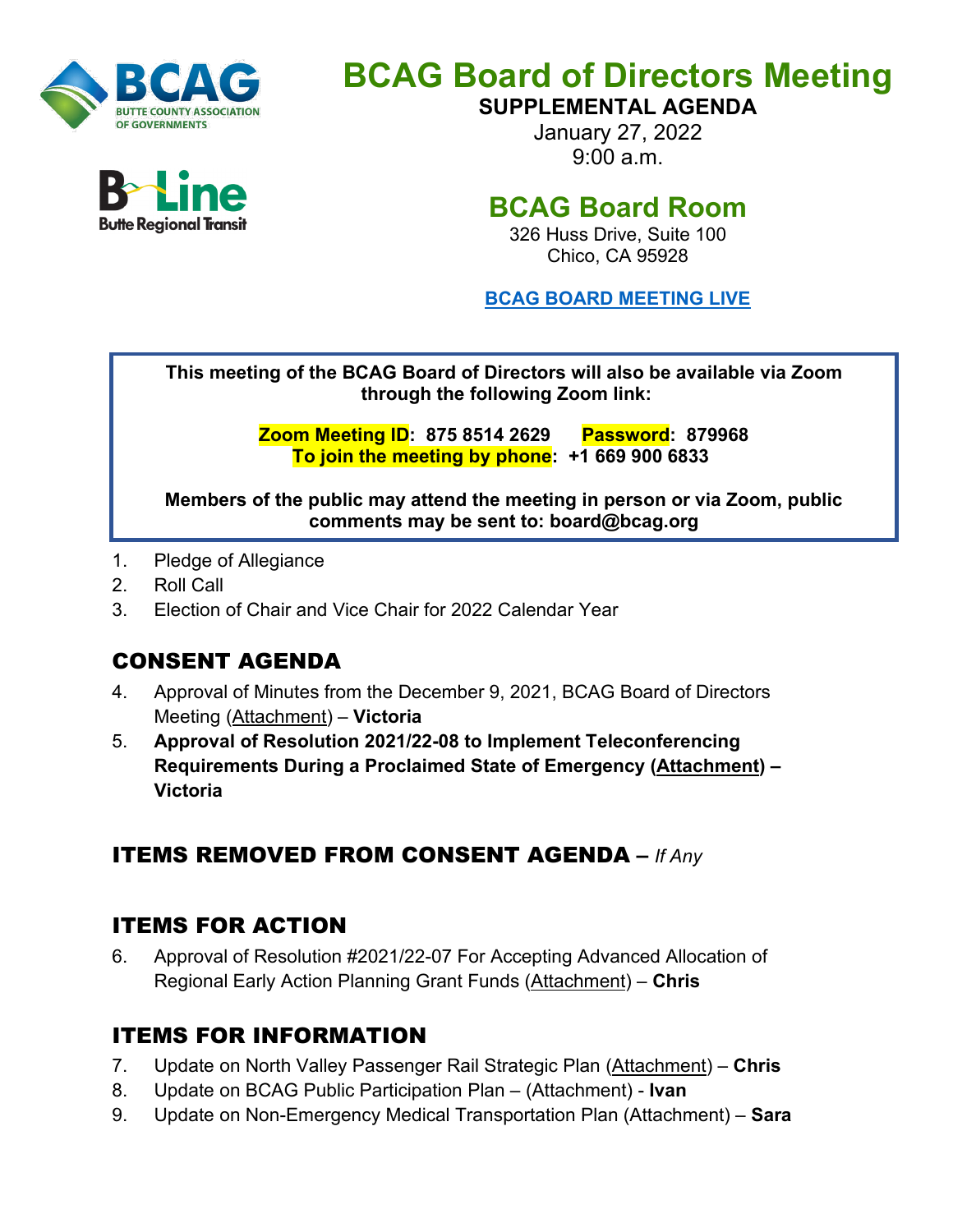

# **BCAG Board of Directors Meeting**

**SUPPLEMENTAL AGENDA**

January 27, 2022 9:00 a.m.

# **BCAG Board Room**

326 Huss Drive, Suite 100 Chico, CA 95928

**BCAG BOARD [MEETING LIVE](https://us02web.zoom.us/j/87585142629?pwd=UVZtemgvbGRpTmxZTm9jUjdmZ1pxUT09)**

**This meeting of the BCAG Board of Directors will also be available via Zoom through the following Zoom link:** 

> **Zoom Meeting ID: 875 8514 2629 Password: 879968 To join the meeting by phone: +1 669 900 6833**

**Members of the public may attend the meeting in person or via Zoom, public comments may be sent to: board@bcag.org**

- 1. Pledge of Allegiance
- 2. Roll Call
- 3. Election of Chair and Vice Chair for 2022 Calendar Year

## CONSENT AGENDA

- 4. Approval of Minutes from the December 9, 2021, BCAG Board of Directors Meeting (Attachment) – **Victoria**
- 5. **Approval of Resolution 2021/22-08 to Implement Teleconferencing Requirements During a Proclaimed State of Emergency (Attachment) – Victoria**

## ITEMS REMOVED FROM CONSENT AGENDA **–** *If Any*

## ITEMS FOR ACTION

6. Approval of Resolution #2021/22-07 For Accepting Advanced Allocation of Regional Early Action Planning Grant Funds (Attachment) – **Chris**

## ITEMS FOR INFORMATION

- 7. Update on North Valley Passenger Rail Strategic Plan (Attachment) **Chris**
- 8. Update on BCAG Public Participation Plan (Attachment) **Ivan**
- 9. Update on Non-Emergency Medical Transportation Plan (Attachment) **Sara**